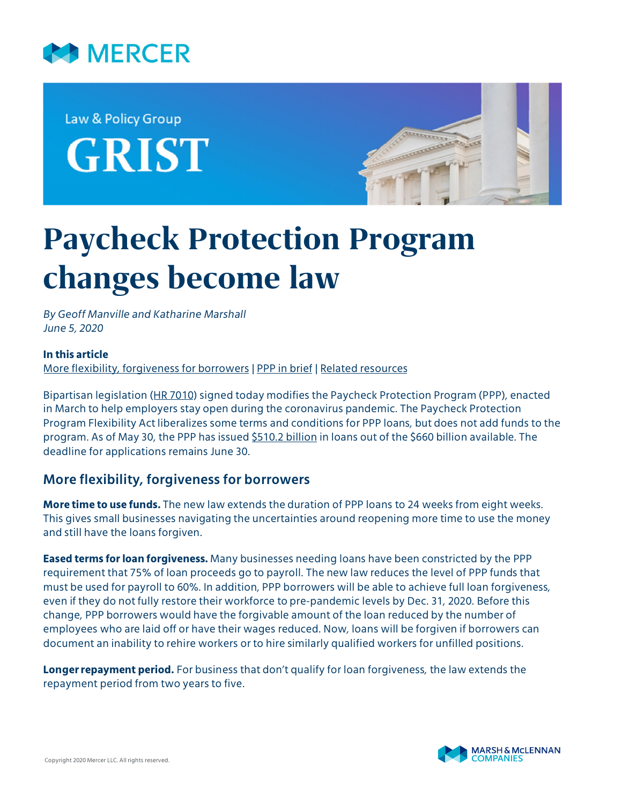

Law & Policy Group **GRIST** 



# **Paycheck Protection Program changes become law**

*By Geoff Manville and Katharine Marshall June 5, 2020*

#### **In this article**

[More flexibility, forgiveness for borrowers](#page-0-0) | [PPP in brief](#page-1-0) | [Related resources](#page-1-1)

Bipartisan legislation [\(HR 7010\)](https://www.congress.gov/116/bills/hr7010/BILLS-116hr7010enr.pdf) signed today modifies the Paycheck Protection Program (PPP), enacted in March to help employers stay open during the coronavirus pandemic. The Paycheck Protection Program Flexibility Act liberalizes some terms and conditions for PPP loans, but does not add funds to the program. As of May 30, the PPP has issued [\\$510.2 billion](https://www.sba.gov/sites/default/files/2020-06/PPP_Report_200530-508.pdf) in loans out of the \$660 billion available. The deadline for applications remains June 30.

## <span id="page-0-0"></span>**More flexibility, forgiveness for borrowers**

**More time to use funds.** The new law extends the duration of PPP loans to 24 weeks from eight weeks. This gives small businesses navigating the uncertainties around reopening more time to use the money and still have the loans forgiven.

**Eased terms for loan forgiveness.** Many businesses needing loans have been constricted by the PPP requirement that 75% of loan proceeds go to payroll. The new law reduces the level of PPP funds that must be used for payroll to 60%. In addition, PPP borrowers will be able to achieve full loan forgiveness, even if they do not fully restore their workforce to pre-pandemic levels by Dec. 31, 2020. Before this change, PPP borrowers would have the forgivable amount of the loan reduced by the number of employees who are laid off or have their wages reduced. Now, loans will be forgiven if borrowers can document an inability to rehire workers or to hire similarly qualified workers for unfilled positions.

**Longer repayment period.** For business that don't qualify for loan forgiveness, the law extends the repayment period from two years to five.

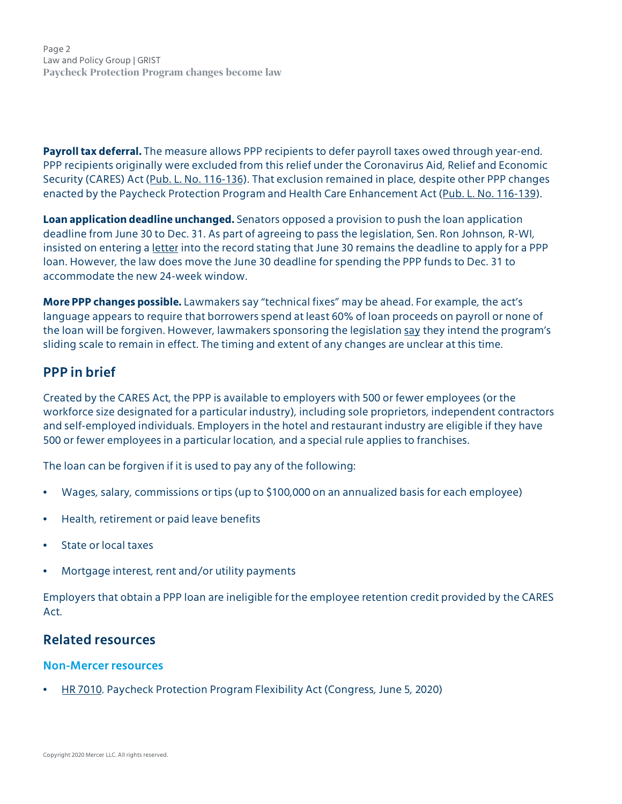Page 2 Law and Policy Group | GRIST **Paycheck Protection Program changes become law**

**Payroll tax deferral.** The measure allows PPP recipients to defer payroll taxes owed through year-end. PPP recipients originally were excluded from this relief under the Coronavirus Aid, Relief and Economic Security (CARES) Act ([Pub. L. No. 116-136](https://www.congress.gov/116/bills/hr748/BILLS-116hr748enr.pdf)). That exclusion remained in place, despite other PPP changes enacted by the Paycheck Protection Program and Health Care Enhancement Act ([Pub. L. No. 116-139\)](https://www.congress.gov/116/plaws/publ139/PLAW-116publ139.pdf).

**Loan application deadline unchanged.** Senators opposed a provision to push the loan application deadline from June 30 to Dec. 31. As part of agreeing to pass the legislation, Sen. Ron Johnson, R-WI, insisted on entering a <u>letter</u> into the record stating that June 30 remains the deadline to apply for a PPP loan. However, the law does move the June 30 deadline for spending the PPP funds to Dec. 31 to accommodate the new 24-week window.

**More PPP changes possible.** Lawmakers say "technical fixes" may be ahead. For example, the act's language appears to require that borrowers spend at least 60% of loan proceeds on payroll or none of the loan will be forgiven. However, lawmakers sponsoring the legislation [say](https://www.govinfo.gov/content/pkg/CREC-2020-06-01/pdf/CREC-2020-06-01-pt1-PgE507-2.pdf) they intend the program's sliding scale to remain in effect. The timing and extent of any changes are unclear at this time.

## <span id="page-1-0"></span>**PPP in brief**

Created by the CARES Act, the PPP is available to employers with 500 or fewer employees (or the workforce size designated for a particular industry), including sole proprietors, independent contractors and self-employed individuals. Employers in the hotel and restaurant industry are eligible if they have 500 or fewer employees in a particular location, and a special rule applies to franchises.

The loan can be forgiven if it is used to pay any of the following:

- Wages, salary, commissions or tips (up to \$100,000 on an annualized basis for each employee)
- Health, retirement or paid leave benefits
- State or local taxes
- Mortgage interest, rent and/or utility payments

Employers that obtain a PPP loan are ineligible for the employee retention credit provided by the CARES Act.

## <span id="page-1-1"></span>**Related resources**

## **Non-Mercer resources**

• [HR 7010](https://www.congress.gov/116/bills/hr7010/BILLS-116hr7010enr.pdf), Paycheck Protection Program Flexibility Act (Congress, June 5, 2020)